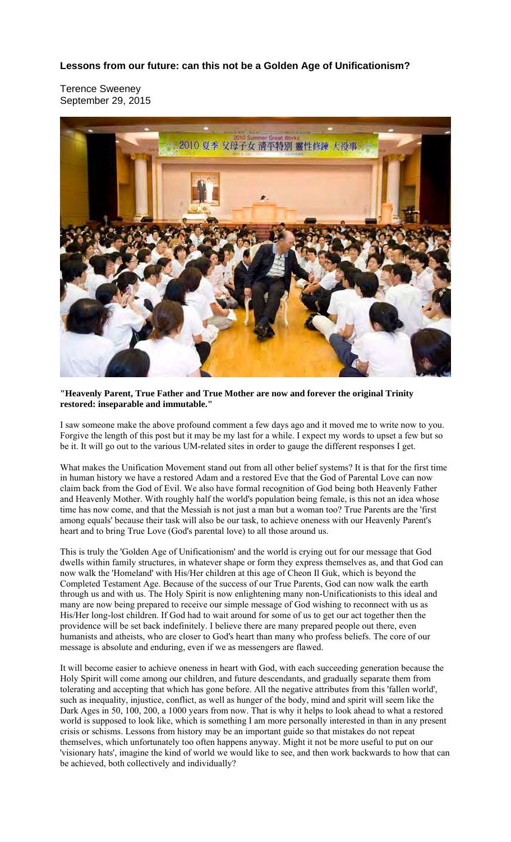## **Lessons from our future: can this not be a Golden Age of Unificationism?**

Terence Sweeney September 29, 2015



## **"Heavenly Parent, True Father and True Mother are now and forever the original Trinity restored: inseparable and immutable."**

I saw someone make the above profound comment a few days ago and it moved me to write now to you. Forgive the length of this post but it may be my last for a while. I expect my words to upset a few but so be it. It will go out to the various UM-related sites in order to gauge the different responses I get.

What makes the Unification Movement stand out from all other belief systems? It is that for the first time in human history we have a restored Adam and a restored Eve that the God of Parental Love can now claim back from the God of Evil. We also have formal recognition of God being both Heavenly Father and Heavenly Mother. With roughly half the world's population being female, is this not an idea whose time has now come, and that the Messiah is not just a man but a woman too? True Parents are the 'first among equals' because their task will also be our task, to achieve oneness with our Heavenly Parent's heart and to bring True Love (God's parental love) to all those around us.

This is truly the 'Golden Age of Unificationism' and the world is crying out for our message that God dwells within family structures, in whatever shape or form they express themselves as, and that God can now walk the 'Homeland' with His/Her children at this age of Cheon Il Guk, which is beyond the Completed Testament Age. Because of the success of our True Parents, God can now walk the earth through us and with us. The Holy Spirit is now enlightening many non-Unificationists to this ideal and many are now being prepared to receive our simple message of God wishing to reconnect with us as His/Her long-lost children. If God had to wait around for some of us to get our act together then the providence will be set back indefinitely. I believe there are many prepared people out there, even humanists and atheists, who are closer to God's heart than many who profess beliefs. The core of our message is absolute and enduring, even if we as messengers are flawed.

It will become easier to achieve oneness in heart with God, with each succeeding generation because the Holy Spirit will come among our children, and future descendants, and gradually separate them from tolerating and accepting that which has gone before. All the negative attributes from this 'fallen world', such as inequality, injustice, conflict, as well as hunger of the body, mind and spirit will seem like the Dark Ages in 50, 100, 200, a 1000 years from now. That is why it helps to look ahead to what a restored world is supposed to look like, which is something I am more personally interested in than in any present crisis or schisms. Lessons from history may be an important guide so that mistakes do not repeat themselves, which unfortunately too often happens anyway. Might it not be more useful to put on our 'visionary hats', imagine the kind of world we would like to see, and then work backwards to how that can be achieved, both collectively and individually?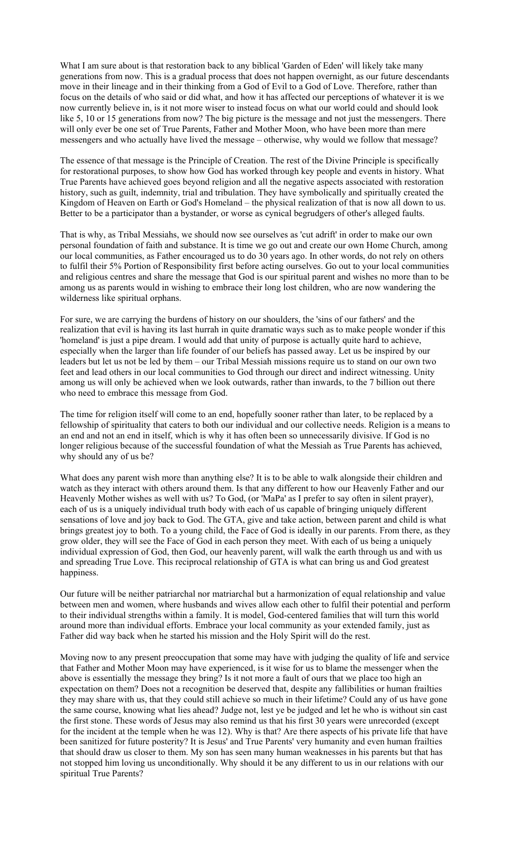What I am sure about is that restoration back to any biblical 'Garden of Eden' will likely take many generations from now. This is a gradual process that does not happen overnight, as our future descendants move in their lineage and in their thinking from a God of Evil to a God of Love. Therefore, rather than focus on the details of who said or did what, and how it has affected our perceptions of whatever it is we now currently believe in, is it not more wiser to instead focus on what our world could and should look like 5, 10 or 15 generations from now? The big picture is the message and not just the messengers. There will only ever be one set of True Parents, Father and Mother Moon, who have been more than mere messengers and who actually have lived the message – otherwise, why would we follow that message?

The essence of that message is the Principle of Creation. The rest of the Divine Principle is specifically for restorational purposes, to show how God has worked through key people and events in history. What True Parents have achieved goes beyond religion and all the negative aspects associated with restoration history, such as guilt, indemnity, trial and tribulation. They have symbolically and spiritually created the Kingdom of Heaven on Earth or God's Homeland – the physical realization of that is now all down to us. Better to be a participator than a bystander, or worse as cynical begrudgers of other's alleged faults.

That is why, as Tribal Messiahs, we should now see ourselves as 'cut adrift' in order to make our own personal foundation of faith and substance. It is time we go out and create our own Home Church, among our local communities, as Father encouraged us to do 30 years ago. In other words, do not rely on others to fulfil their 5% Portion of Responsibility first before acting ourselves. Go out to your local communities and religious centres and share the message that God is our spiritual parent and wishes no more than to be among us as parents would in wishing to embrace their long lost children, who are now wandering the wilderness like spiritual orphans.

For sure, we are carrying the burdens of history on our shoulders, the 'sins of our fathers' and the realization that evil is having its last hurrah in quite dramatic ways such as to make people wonder if this 'homeland' is just a pipe dream. I would add that unity of purpose is actually quite hard to achieve, especially when the larger than life founder of our beliefs has passed away. Let us be inspired by our leaders but let us not be led by them – our Tribal Messiah missions require us to stand on our own two feet and lead others in our local communities to God through our direct and indirect witnessing. Unity among us will only be achieved when we look outwards, rather than inwards, to the 7 billion out there who need to embrace this message from God.

The time for religion itself will come to an end, hopefully sooner rather than later, to be replaced by a fellowship of spirituality that caters to both our individual and our collective needs. Religion is a means to an end and not an end in itself, which is why it has often been so unnecessarily divisive. If God is no longer religious because of the successful foundation of what the Messiah as True Parents has achieved, why should any of us be?

What does any parent wish more than anything else? It is to be able to walk alongside their children and watch as they interact with others around them. Is that any different to how our Heavenly Father and our Heavenly Mother wishes as well with us? To God, (or 'MaPa' as I prefer to say often in silent prayer), each of us is a uniquely individual truth body with each of us capable of bringing uniquely different sensations of love and joy back to God. The GTA, give and take action, between parent and child is what brings greatest joy to both. To a young child, the Face of God is ideally in our parents. From there, as they grow older, they will see the Face of God in each person they meet. With each of us being a uniquely individual expression of God, then God, our heavenly parent, will walk the earth through us and with us and spreading True Love. This reciprocal relationship of GTA is what can bring us and God greatest happiness.

Our future will be neither patriarchal nor matriarchal but a harmonization of equal relationship and value between men and women, where husbands and wives allow each other to fulfil their potential and perform to their individual strengths within a family. It is model, God-centered families that will turn this world around more than individual efforts. Embrace your local community as your extended family, just as Father did way back when he started his mission and the Holy Spirit will do the rest.

Moving now to any present preoccupation that some may have with judging the quality of life and service that Father and Mother Moon may have experienced, is it wise for us to blame the messenger when the above is essentially the message they bring? Is it not more a fault of ours that we place too high an expectation on them? Does not a recognition be deserved that, despite any fallibilities or human frailties they may share with us, that they could still achieve so much in their lifetime? Could any of us have gone the same course, knowing what lies ahead? Judge not, lest ye be judged and let he who is without sin cast the first stone. These words of Jesus may also remind us that his first 30 years were unrecorded (except for the incident at the temple when he was 12). Why is that? Are there aspects of his private life that have been sanitized for future posterity? It is Jesus' and True Parents' very humanity and even human frailties that should draw us closer to them. My son has seen many human weaknesses in his parents but that has not stopped him loving us unconditionally. Why should it be any different to us in our relations with our spiritual True Parents?